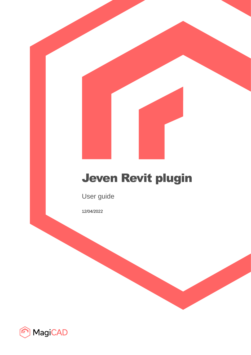# Jeven Revit plugin

User guide

12/04/2022

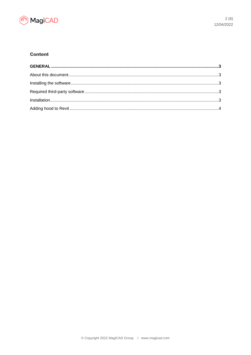

## **Content**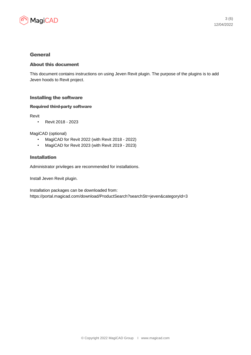

### General

#### About this document

This document contains instructions on using Jeven Revit plugin. The purpose of the plugins is to add Jeven hoods to Revit project.

#### Installing the software

#### Required third-party software

Revit

• Revit 2018 - 2023

MagiCAD (optional)

- MagiCAD for Revit 2022 (with Revit 2018 2022)
- MagiCAD for Revit 2023 (with Revit 2019 2023)

#### Installation

Administrator privileges are recommended for installations.

Install Jeven Revit plugin.

Installation packages can be downloaded from: https://portal.magicad.com/download/ProductSearch?searchStr=jeven&categoryId=3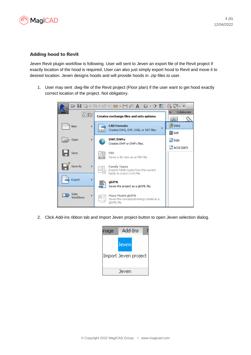

#### Adding hood to Revit

Jeven Revit plugin workflow is following. User will sent to Jeven an export file of the Revit project if exactly location of the hood is required. User can also just simply export hood to Revit and move it to desired location. Jeven designs hoods and will provide hoods in .zip-files to user.

1. User may sent .dwg-file of the Revit project (Floor plan) if the user want to get hood exactly correct location of the project. Not obligatory.



2. Click Add-ins ribbon tab and Import Jeven project-button to open Jeven selection dialog.

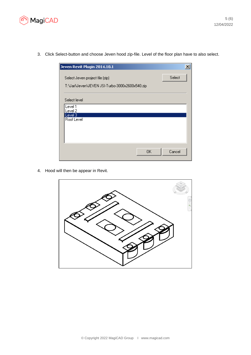

3. Click Select-button and choose Jeven hood zip-file. Level of the floor plan have to also select.

| Jeven Revit Plugin 2014.10.1                                                       | $\boldsymbol{\mathsf{x}}$ |
|------------------------------------------------------------------------------------|---------------------------|
| Select Jeven project file (zip)<br>T:\Jari\Jeven\JEVEN JSI-Turbo-3000x2600x540.zip | Select                    |
| Select level                                                                       |                           |
| Level 1<br>Level 2                                                                 |                           |
| Level 3<br>Roof Level                                                              |                           |
|                                                                                    |                           |
|                                                                                    |                           |
|                                                                                    |                           |
| OΚ                                                                                 | Cancel                    |

4. Hood will then be appear in Revit.